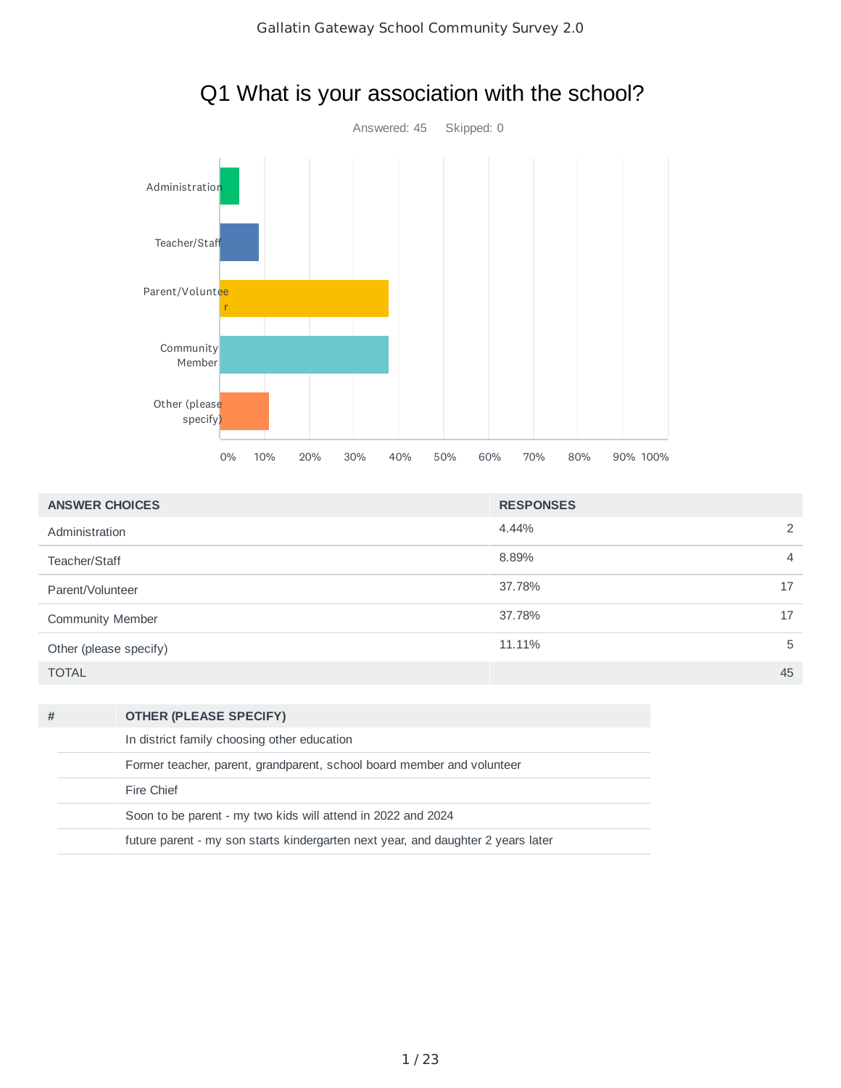

# Q1 What is your association with the school?

| <b>ANSWER CHOICES</b>   | <b>RESPONSES</b> |
|-------------------------|------------------|
| Administration          | 4.44%<br>2       |
| Teacher/Staff           | 8.89%<br>4       |
| Parent/Volunteer        | 37.78%<br>17     |
| <b>Community Member</b> | 37.78%<br>17     |
| Other (please specify)  | 11.11%<br>5      |
| <b>TOTAL</b>            | 45               |

| # | <b>OTHER (PLEASE SPECIFY)</b>                                                    |
|---|----------------------------------------------------------------------------------|
|   | In district family choosing other education                                      |
|   | Former teacher, parent, grandparent, school board member and volunteer           |
|   | Fire Chief                                                                       |
|   | Soon to be parent - my two kids will attend in 2022 and 2024                     |
|   | future parent - my son starts kindergarten next year, and daughter 2 years later |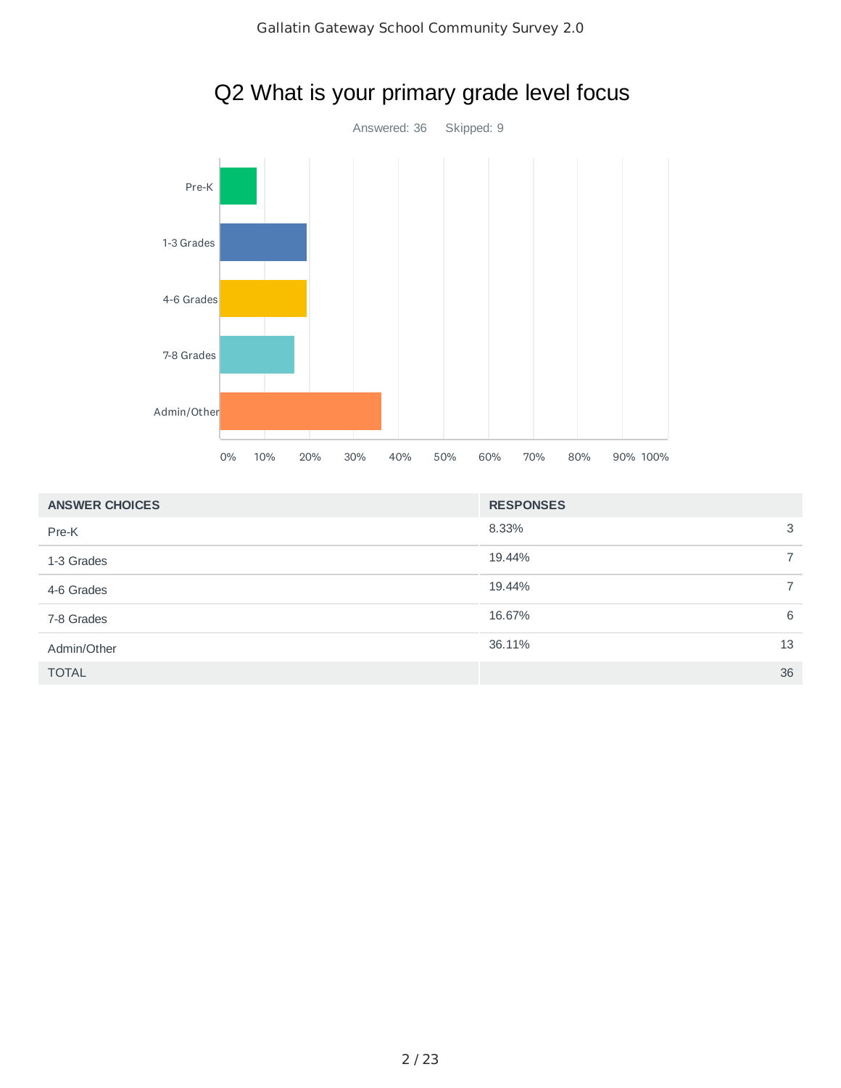

## Q2 What is your primary grade level focus

| <b>ANSWER CHOICES</b> | <b>RESPONSES</b> |   |
|-----------------------|------------------|---|
| Pre-K                 | 8.33%            | 3 |
| 1-3 Grades            | 19.44%           |   |
| 4-6 Grades            | 19.44%           |   |
| 7-8 Grades            | 16.67%           | 6 |
| Admin/Other           | 36.11%<br>13     |   |
| <b>TOTAL</b>          | 36               |   |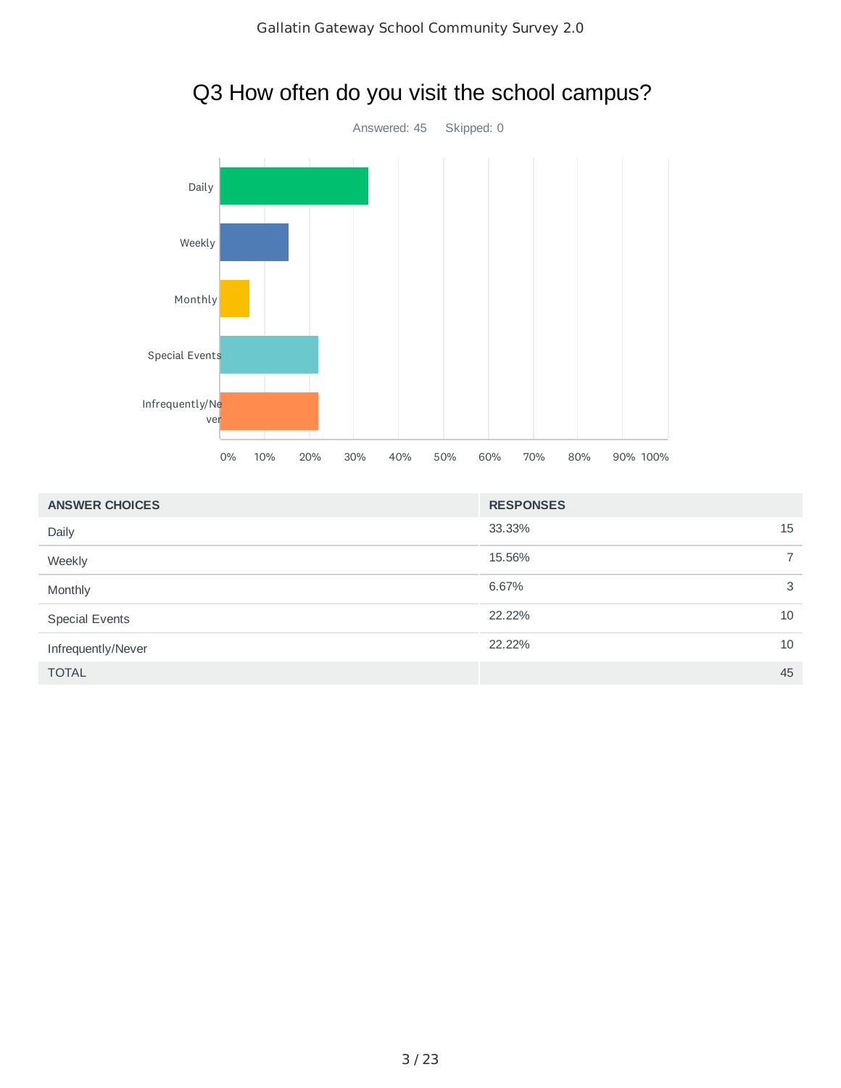

# Q3 How often do you visit the school campus?

| <b>ANSWER CHOICES</b> | <b>RESPONSES</b> |                          |
|-----------------------|------------------|--------------------------|
| Daily                 | 33.33%<br>15     |                          |
| Weekly                | 15.56%           | $\overline{\phantom{1}}$ |
| Monthly               | 6.67%            | 3                        |
| <b>Special Events</b> | 22.22%<br>10     |                          |
| Infrequently/Never    | 22.22%<br>10     |                          |
| <b>TOTAL</b>          | 45               |                          |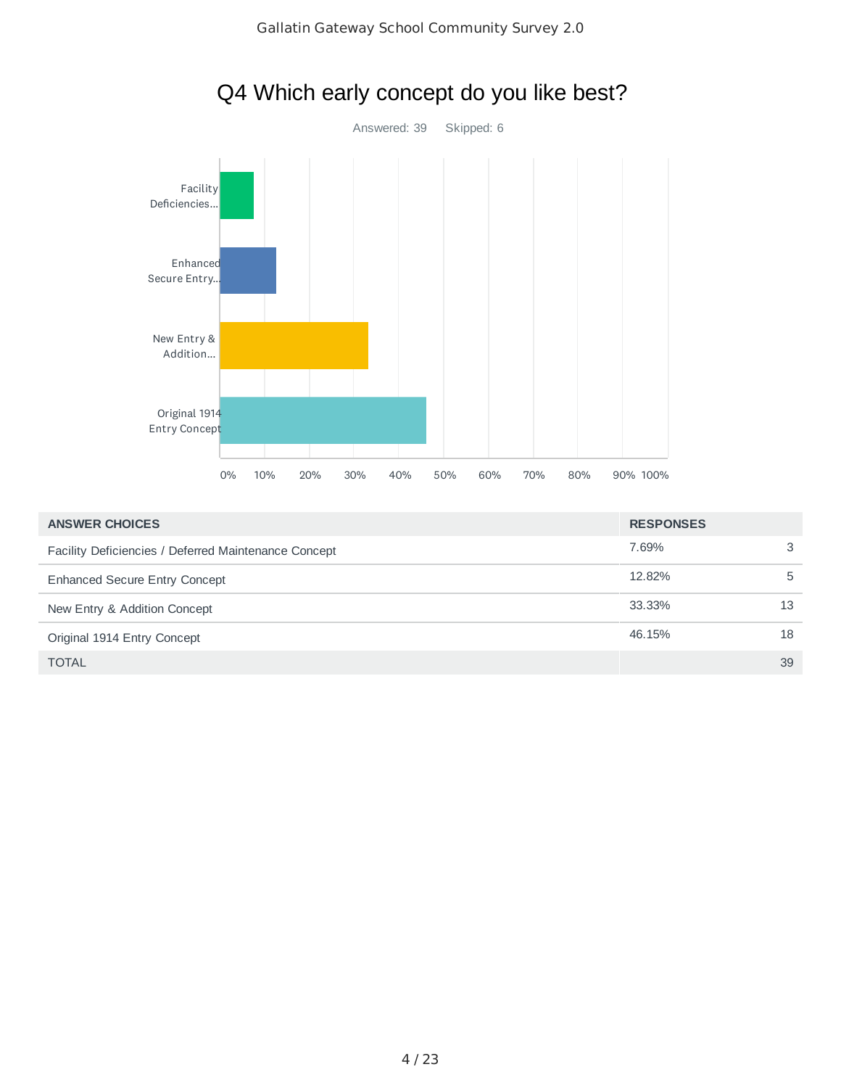

| Q4 Which early concept do you like best? |  |  |  |  |  |
|------------------------------------------|--|--|--|--|--|
|------------------------------------------|--|--|--|--|--|

| <b>ANSWER CHOICES</b><br><b>RESPONSES</b>            |        |    |
|------------------------------------------------------|--------|----|
| Facility Deficiencies / Deferred Maintenance Concept | 7.69%  | 3  |
| <b>Enhanced Secure Entry Concept</b>                 | 12.82% | 5  |
| New Entry & Addition Concept                         | 33.33% | 13 |
| Original 1914 Entry Concept                          | 46.15% | 18 |
| <b>TOTAL</b>                                         |        | 39 |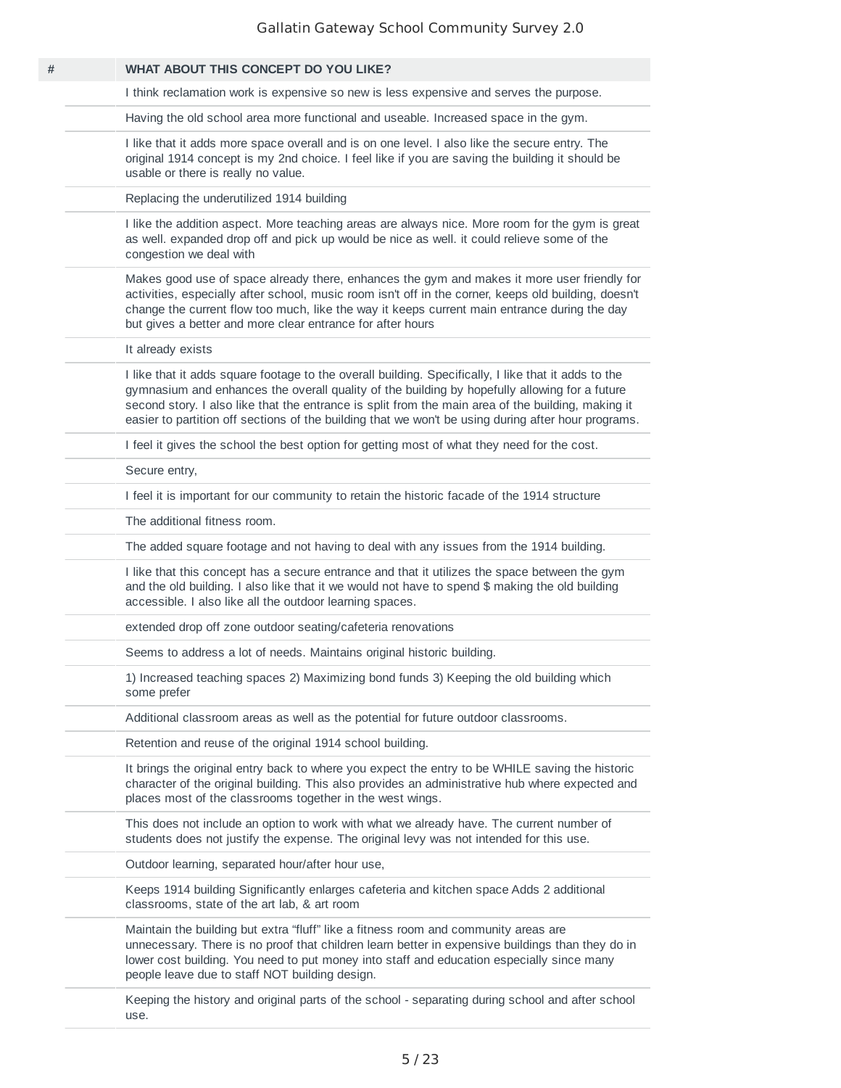| # | <b>WHAT ABOUT THIS CONCEPT DO YOU LIKE?</b>                                                                                                                                                                                                                                                                                                                                                                        |
|---|--------------------------------------------------------------------------------------------------------------------------------------------------------------------------------------------------------------------------------------------------------------------------------------------------------------------------------------------------------------------------------------------------------------------|
|   | I think reclamation work is expensive so new is less expensive and serves the purpose.                                                                                                                                                                                                                                                                                                                             |
|   | Having the old school area more functional and useable. Increased space in the gym.                                                                                                                                                                                                                                                                                                                                |
|   | I like that it adds more space overall and is on one level. I also like the secure entry. The<br>original 1914 concept is my 2nd choice. I feel like if you are saving the building it should be<br>usable or there is really no value.                                                                                                                                                                            |
|   | Replacing the underutilized 1914 building                                                                                                                                                                                                                                                                                                                                                                          |
|   | I like the addition aspect. More teaching areas are always nice. More room for the gym is great<br>as well. expanded drop off and pick up would be nice as well. it could relieve some of the<br>congestion we deal with                                                                                                                                                                                           |
|   | Makes good use of space already there, enhances the gym and makes it more user friendly for<br>activities, especially after school, music room isn't off in the corner, keeps old building, doesn't<br>change the current flow too much, like the way it keeps current main entrance during the day<br>but gives a better and more clear entrance for after hours                                                  |
|   | It already exists                                                                                                                                                                                                                                                                                                                                                                                                  |
|   | I like that it adds square footage to the overall building. Specifically, I like that it adds to the<br>gymnasium and enhances the overall quality of the building by hopefully allowing for a future<br>second story. I also like that the entrance is split from the main area of the building, making it<br>easier to partition off sections of the building that we won't be using during after hour programs. |
|   | I feel it gives the school the best option for getting most of what they need for the cost.                                                                                                                                                                                                                                                                                                                        |
|   | Secure entry,                                                                                                                                                                                                                                                                                                                                                                                                      |
|   | I feel it is important for our community to retain the historic facade of the 1914 structure                                                                                                                                                                                                                                                                                                                       |
|   | The additional fitness room.                                                                                                                                                                                                                                                                                                                                                                                       |
|   | The added square footage and not having to deal with any issues from the 1914 building.                                                                                                                                                                                                                                                                                                                            |
|   | I like that this concept has a secure entrance and that it utilizes the space between the gym<br>and the old building. I also like that it we would not have to spend \$ making the old building<br>accessible. I also like all the outdoor learning spaces.                                                                                                                                                       |
|   | extended drop off zone outdoor seating/cafeteria renovations                                                                                                                                                                                                                                                                                                                                                       |
|   | Seems to address a lot of needs. Maintains original historic building.                                                                                                                                                                                                                                                                                                                                             |
|   | 1) Increased teaching spaces 2) Maximizing bond funds 3) Keeping the old building which<br>some prefer                                                                                                                                                                                                                                                                                                             |
|   | Additional classroom areas as well as the potential for future outdoor classrooms.                                                                                                                                                                                                                                                                                                                                 |
|   | Retention and reuse of the original 1914 school building.                                                                                                                                                                                                                                                                                                                                                          |
|   | It brings the original entry back to where you expect the entry to be WHILE saving the historic<br>character of the original building. This also provides an administrative hub where expected and<br>places most of the classrooms together in the west wings.                                                                                                                                                    |
|   | This does not include an option to work with what we already have. The current number of<br>students does not justify the expense. The original levy was not intended for this use.                                                                                                                                                                                                                                |
|   | Outdoor learning, separated hour/after hour use,                                                                                                                                                                                                                                                                                                                                                                   |
|   | Keeps 1914 building Significantly enlarges cafeteria and kitchen space Adds 2 additional<br>classrooms, state of the art lab, & art room                                                                                                                                                                                                                                                                           |
|   | Maintain the building but extra "fluff" like a fitness room and community areas are<br>unnecessary. There is no proof that children learn better in expensive buildings than they do in<br>lower cost building. You need to put money into staff and education especially since many<br>people leave due to staff NOT building design.                                                                             |
|   | Keeping the history and original parts of the school - separating during school and after school                                                                                                                                                                                                                                                                                                                   |

use.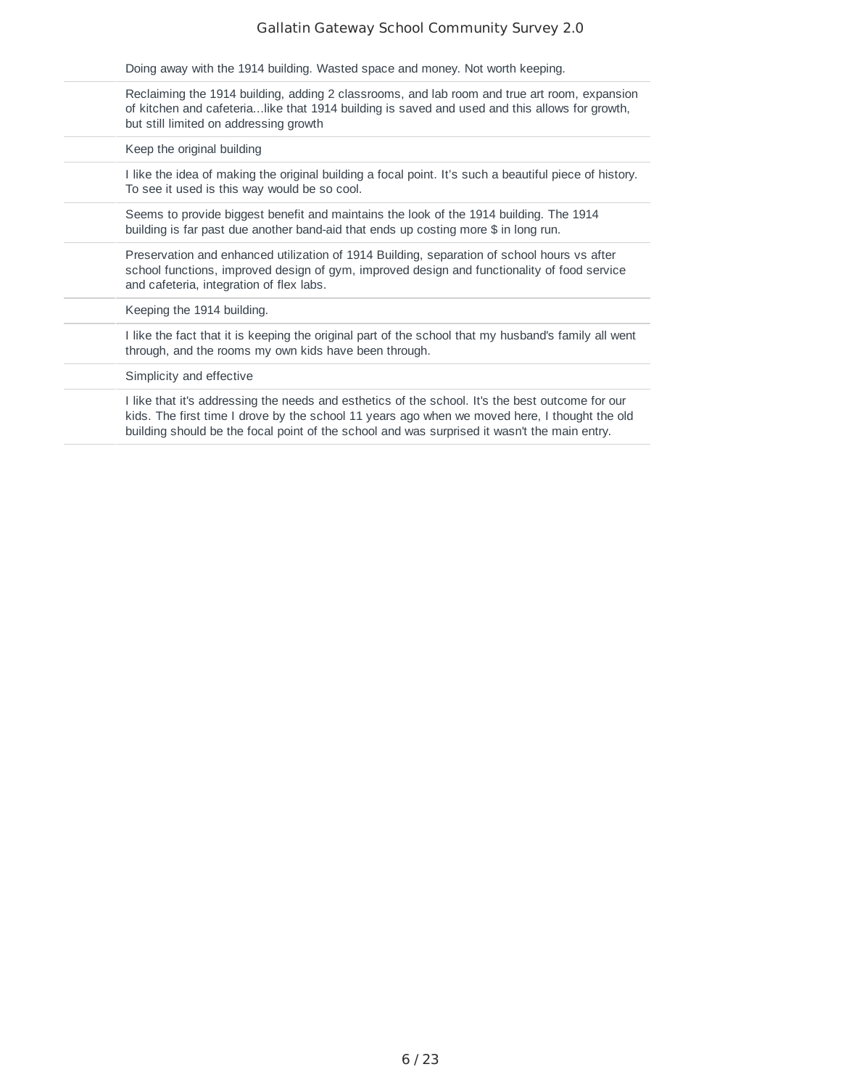| Doing away with the 1914 building. Wasted space and money. Not worth keeping.                                                                                                                                                                                                                     |
|---------------------------------------------------------------------------------------------------------------------------------------------------------------------------------------------------------------------------------------------------------------------------------------------------|
| Reclaiming the 1914 building, adding 2 classrooms, and lab room and true art room, expansion<br>of kitchen and cafeterialike that 1914 building is saved and used and this allows for growth,<br>but still limited on addressing growth                                                           |
| Keep the original building                                                                                                                                                                                                                                                                        |
| I like the idea of making the original building a focal point. It's such a beautiful piece of history.<br>To see it used is this way would be so cool.                                                                                                                                            |
| Seems to provide biggest benefit and maintains the look of the 1914 building. The 1914<br>building is far past due another band-aid that ends up costing more \$ in long run.                                                                                                                     |
| Preservation and enhanced utilization of 1914 Building, separation of school hours vs after<br>school functions, improved design of gym, improved design and functionality of food service<br>and cafeteria, integration of flex labs.                                                            |
| Keeping the 1914 building.                                                                                                                                                                                                                                                                        |
| I like the fact that it is keeping the original part of the school that my husband's family all went<br>through, and the rooms my own kids have been through.                                                                                                                                     |
| Simplicity and effective                                                                                                                                                                                                                                                                          |
| I like that it's addressing the needs and esthetics of the school. It's the best outcome for our<br>kids. The first time I drove by the school 11 years ago when we moved here, I thought the old<br>building should be the focal point of the school and was surprised it wasn't the main entry. |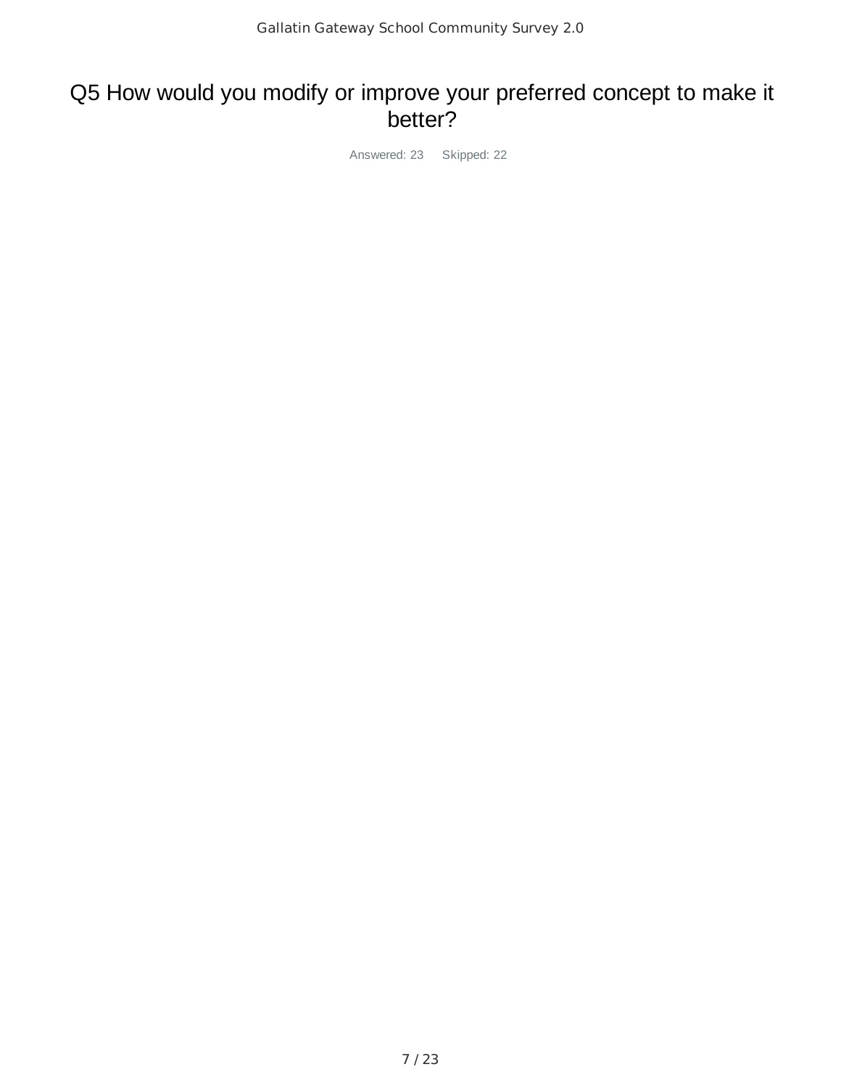### Q5 How would you modify or improve your preferred concept to make it better?

Answered: 23 Skipped: 22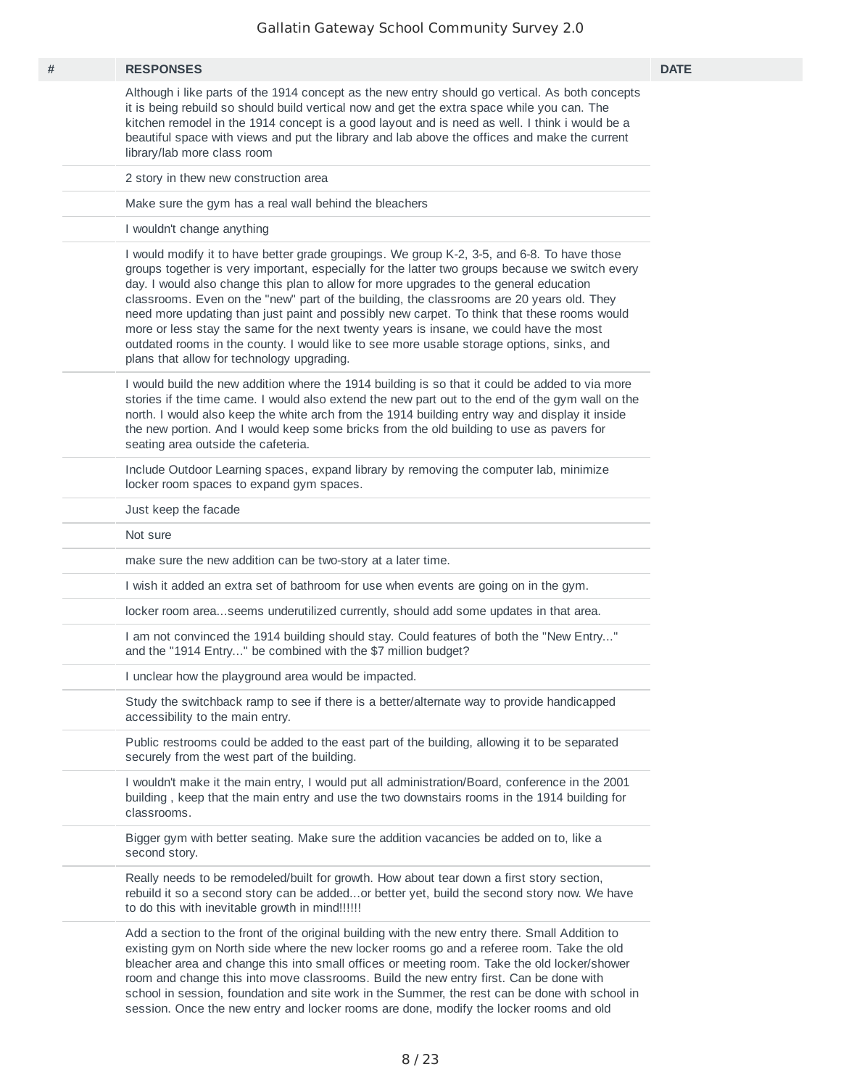| # | <b>RESPONSES</b>                                                                                                                                                                                                                                                                                                                                                                                                                                                                                                                                                                                                                                                                                                          | <b>DATE</b> |
|---|---------------------------------------------------------------------------------------------------------------------------------------------------------------------------------------------------------------------------------------------------------------------------------------------------------------------------------------------------------------------------------------------------------------------------------------------------------------------------------------------------------------------------------------------------------------------------------------------------------------------------------------------------------------------------------------------------------------------------|-------------|
|   | Although i like parts of the 1914 concept as the new entry should go vertical. As both concepts<br>it is being rebuild so should build vertical now and get the extra space while you can. The<br>kitchen remodel in the 1914 concept is a good layout and is need as well. I think i would be a<br>beautiful space with views and put the library and lab above the offices and make the current<br>library/lab more class room                                                                                                                                                                                                                                                                                          |             |
|   | 2 story in thew new construction area                                                                                                                                                                                                                                                                                                                                                                                                                                                                                                                                                                                                                                                                                     |             |
|   | Make sure the gym has a real wall behind the bleachers                                                                                                                                                                                                                                                                                                                                                                                                                                                                                                                                                                                                                                                                    |             |
|   | I wouldn't change anything                                                                                                                                                                                                                                                                                                                                                                                                                                                                                                                                                                                                                                                                                                |             |
|   | I would modify it to have better grade groupings. We group K-2, 3-5, and 6-8. To have those<br>groups together is very important, especially for the latter two groups because we switch every<br>day. I would also change this plan to allow for more upgrades to the general education<br>classrooms. Even on the "new" part of the building, the classrooms are 20 years old. They<br>need more updating than just paint and possibly new carpet. To think that these rooms would<br>more or less stay the same for the next twenty years is insane, we could have the most<br>outdated rooms in the county. I would like to see more usable storage options, sinks, and<br>plans that allow for technology upgrading. |             |
|   | I would build the new addition where the 1914 building is so that it could be added to via more<br>stories if the time came. I would also extend the new part out to the end of the gym wall on the<br>north. I would also keep the white arch from the 1914 building entry way and display it inside<br>the new portion. And I would keep some bricks from the old building to use as pavers for<br>seating area outside the cafeteria.                                                                                                                                                                                                                                                                                  |             |
|   | Include Outdoor Learning spaces, expand library by removing the computer lab, minimize<br>locker room spaces to expand gym spaces.                                                                                                                                                                                                                                                                                                                                                                                                                                                                                                                                                                                        |             |
|   | Just keep the facade                                                                                                                                                                                                                                                                                                                                                                                                                                                                                                                                                                                                                                                                                                      |             |
|   | Not sure                                                                                                                                                                                                                                                                                                                                                                                                                                                                                                                                                                                                                                                                                                                  |             |
|   | make sure the new addition can be two-story at a later time.                                                                                                                                                                                                                                                                                                                                                                                                                                                                                                                                                                                                                                                              |             |
|   | I wish it added an extra set of bathroom for use when events are going on in the gym.                                                                                                                                                                                                                                                                                                                                                                                                                                                                                                                                                                                                                                     |             |
|   | locker room areaseems underutilized currently, should add some updates in that area.                                                                                                                                                                                                                                                                                                                                                                                                                                                                                                                                                                                                                                      |             |
|   | I am not convinced the 1914 building should stay. Could features of both the "New Entry"<br>and the "1914 Entry" be combined with the \$7 million budget?                                                                                                                                                                                                                                                                                                                                                                                                                                                                                                                                                                 |             |
|   | I unclear how the playground area would be impacted.                                                                                                                                                                                                                                                                                                                                                                                                                                                                                                                                                                                                                                                                      |             |
|   | Study the switchback ramp to see if there is a better/alternate way to provide handicapped<br>accessibility to the main entry.                                                                                                                                                                                                                                                                                                                                                                                                                                                                                                                                                                                            |             |
|   | Public restrooms could be added to the east part of the building, allowing it to be separated<br>securely from the west part of the building.                                                                                                                                                                                                                                                                                                                                                                                                                                                                                                                                                                             |             |
|   | I wouldn't make it the main entry, I would put all administration/Board, conference in the 2001<br>building, keep that the main entry and use the two downstairs rooms in the 1914 building for<br>classrooms.                                                                                                                                                                                                                                                                                                                                                                                                                                                                                                            |             |
|   | Bigger gym with better seating. Make sure the addition vacancies be added on to, like a<br>second story.                                                                                                                                                                                                                                                                                                                                                                                                                                                                                                                                                                                                                  |             |
|   | Really needs to be remodeled/built for growth. How about tear down a first story section,<br>rebuild it so a second story can be addedor better yet, build the second story now. We have<br>to do this with inevitable growth in mind!!!!!!                                                                                                                                                                                                                                                                                                                                                                                                                                                                               |             |
|   | Add a section to the front of the original building with the new entry there. Small Addition to<br>existing gym on North side where the new locker rooms go and a referee room. Take the old<br>bleacher area and change this into small offices or meeting room. Take the old locker/shower<br>room and change this into move classrooms. Build the new entry first. Can be done with                                                                                                                                                                                                                                                                                                                                    |             |

school in session, foundation and site work in the Summer, the rest can be done with school in session. Once the new entry and locker rooms are done, modify the locker rooms and old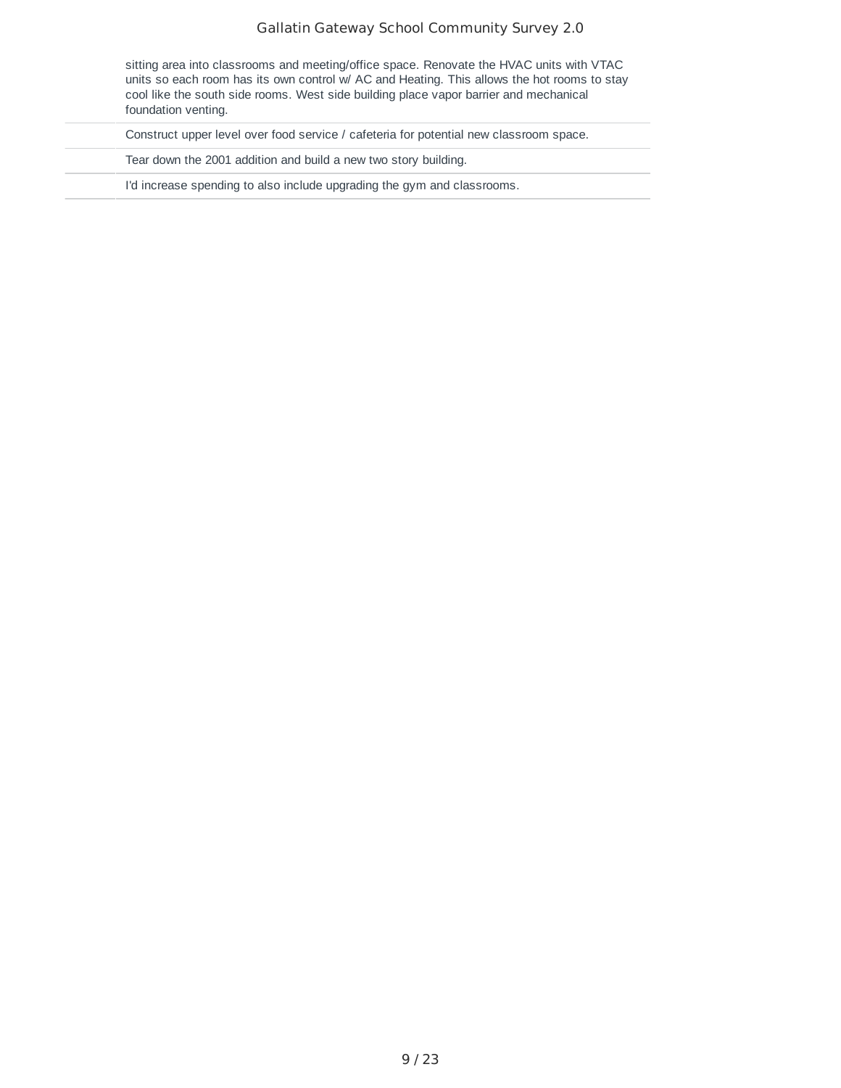| sitting area into classrooms and meeting/office space. Renovate the HVAC units with VTAC    |
|---------------------------------------------------------------------------------------------|
| units so each room has its own control w/ AC and Heating. This allows the hot rooms to stay |
| cool like the south side rooms. West side building place vapor barrier and mechanical       |
| foundation venting.                                                                         |

Construct upper level over food service / cafeteria for potential new classroom space.

Tear down the 2001 addition and build a new two story building.

I'd increase spending to also include upgrading the gym and classrooms.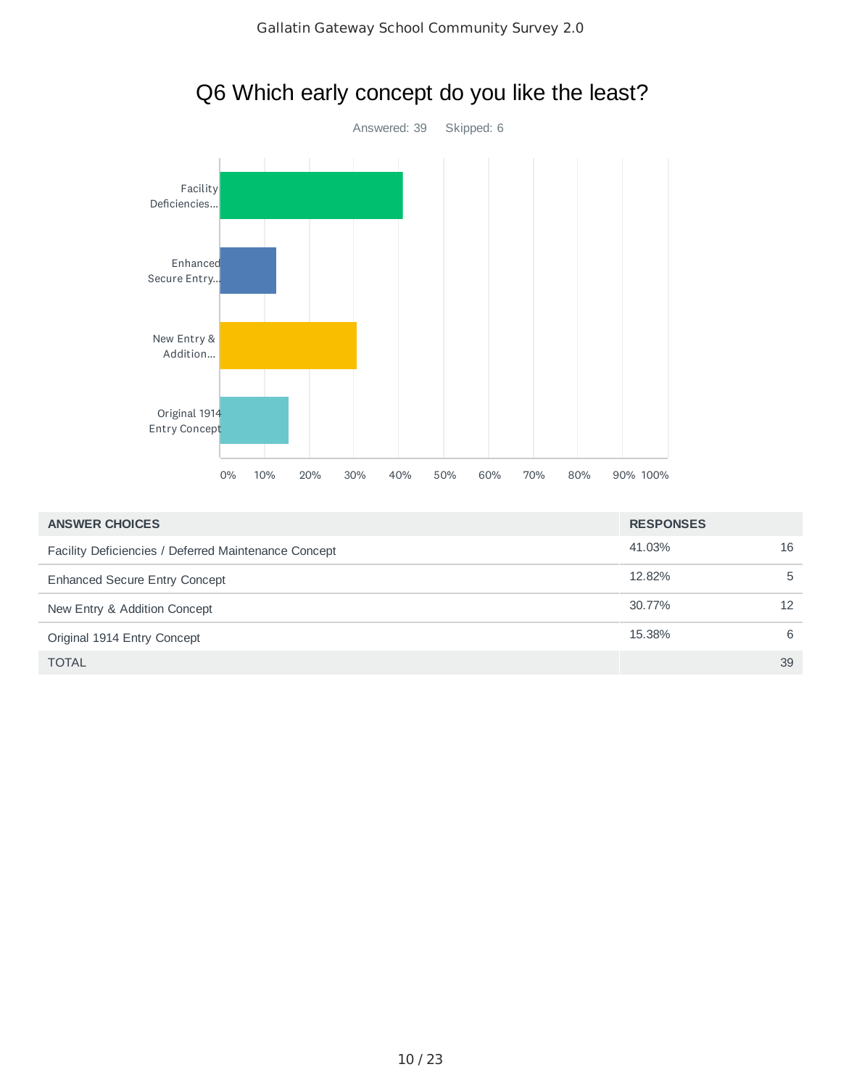



| <b>ANSWER CHOICES</b>                                | <b>RESPONSES</b> |    |
|------------------------------------------------------|------------------|----|
| Facility Deficiencies / Deferred Maintenance Concept | 41.03%           | 16 |
| <b>Enhanced Secure Entry Concept</b>                 | 12.82%           | 5  |
| New Entry & Addition Concept                         | 30.77%           | 12 |
| Original 1914 Entry Concept                          | 15.38%           | 6  |
| <b>TOTAL</b>                                         |                  | 39 |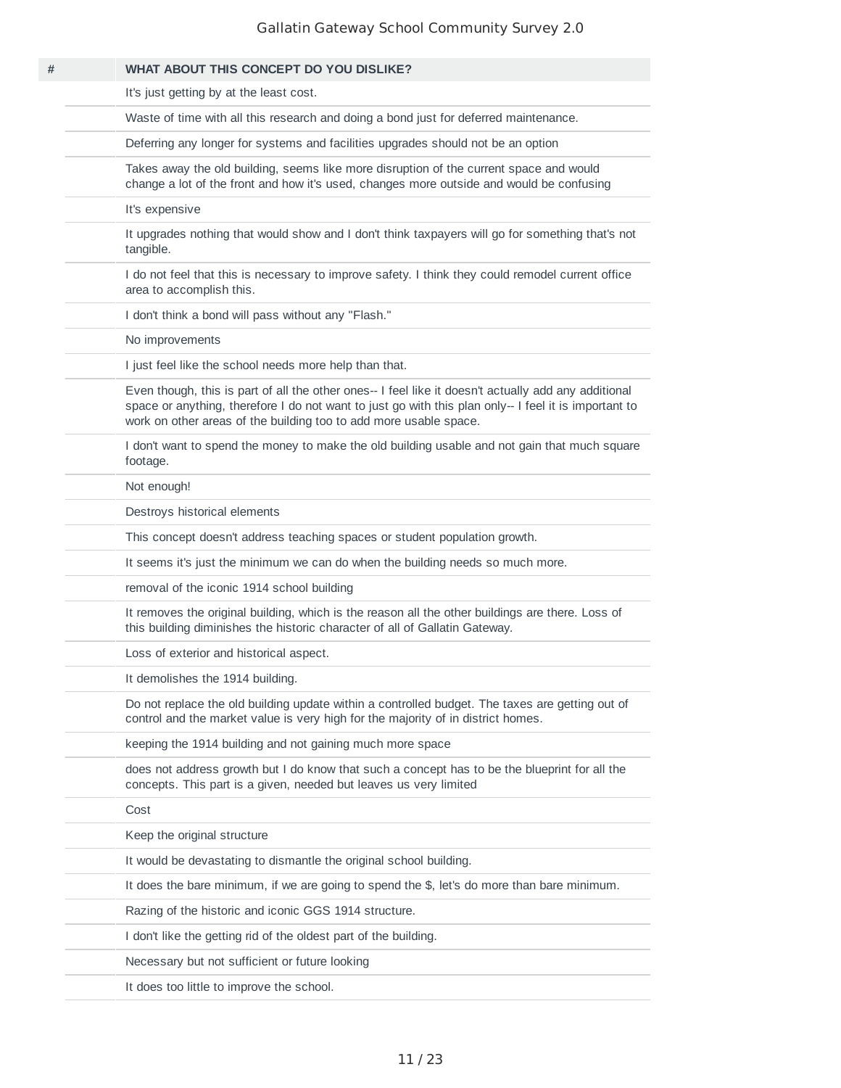| # | <b>WHAT ABOUT THIS CONCEPT DO YOU DISLIKE?</b>                                                                                                                                                                                                                                     |
|---|------------------------------------------------------------------------------------------------------------------------------------------------------------------------------------------------------------------------------------------------------------------------------------|
|   | It's just getting by at the least cost.                                                                                                                                                                                                                                            |
|   | Waste of time with all this research and doing a bond just for deferred maintenance.                                                                                                                                                                                               |
|   | Deferring any longer for systems and facilities upgrades should not be an option                                                                                                                                                                                                   |
|   | Takes away the old building, seems like more disruption of the current space and would<br>change a lot of the front and how it's used, changes more outside and would be confusing                                                                                                 |
|   | It's expensive                                                                                                                                                                                                                                                                     |
|   | It upgrades nothing that would show and I don't think taxpayers will go for something that's not<br>tangible.                                                                                                                                                                      |
|   | I do not feel that this is necessary to improve safety. I think they could remodel current office<br>area to accomplish this.                                                                                                                                                      |
|   | I don't think a bond will pass without any "Flash."                                                                                                                                                                                                                                |
|   | No improvements                                                                                                                                                                                                                                                                    |
|   | I just feel like the school needs more help than that.                                                                                                                                                                                                                             |
|   | Even though, this is part of all the other ones-- I feel like it doesn't actually add any additional<br>space or anything, therefore I do not want to just go with this plan only-- I feel it is important to<br>work on other areas of the building too to add more usable space. |
|   | I don't want to spend the money to make the old building usable and not gain that much square<br>footage.                                                                                                                                                                          |
|   | Not enough!                                                                                                                                                                                                                                                                        |
|   | Destroys historical elements                                                                                                                                                                                                                                                       |
|   | This concept doesn't address teaching spaces or student population growth.                                                                                                                                                                                                         |
|   | It seems it's just the minimum we can do when the building needs so much more.                                                                                                                                                                                                     |
|   | removal of the iconic 1914 school building                                                                                                                                                                                                                                         |
|   | It removes the original building, which is the reason all the other buildings are there. Loss of<br>this building diminishes the historic character of all of Gallatin Gateway.                                                                                                    |
|   | Loss of exterior and historical aspect.                                                                                                                                                                                                                                            |
|   | It demolishes the 1914 building.                                                                                                                                                                                                                                                   |
|   | Do not replace the old building update within a controlled budget. The taxes are getting out of<br>control and the market value is very high for the majority of in district homes.                                                                                                |
|   | keeping the 1914 building and not gaining much more space                                                                                                                                                                                                                          |
|   | does not address growth but I do know that such a concept has to be the blueprint for all the<br>concepts. This part is a given, needed but leaves us very limited                                                                                                                 |
|   | Cost                                                                                                                                                                                                                                                                               |
|   | Keep the original structure                                                                                                                                                                                                                                                        |
|   | It would be devastating to dismantle the original school building.                                                                                                                                                                                                                 |
|   | It does the bare minimum, if we are going to spend the \$, let's do more than bare minimum.                                                                                                                                                                                        |
|   | Razing of the historic and iconic GGS 1914 structure.                                                                                                                                                                                                                              |
|   | I don't like the getting rid of the oldest part of the building.                                                                                                                                                                                                                   |
|   | Necessary but not sufficient or future looking                                                                                                                                                                                                                                     |
|   | It does too little to improve the school.                                                                                                                                                                                                                                          |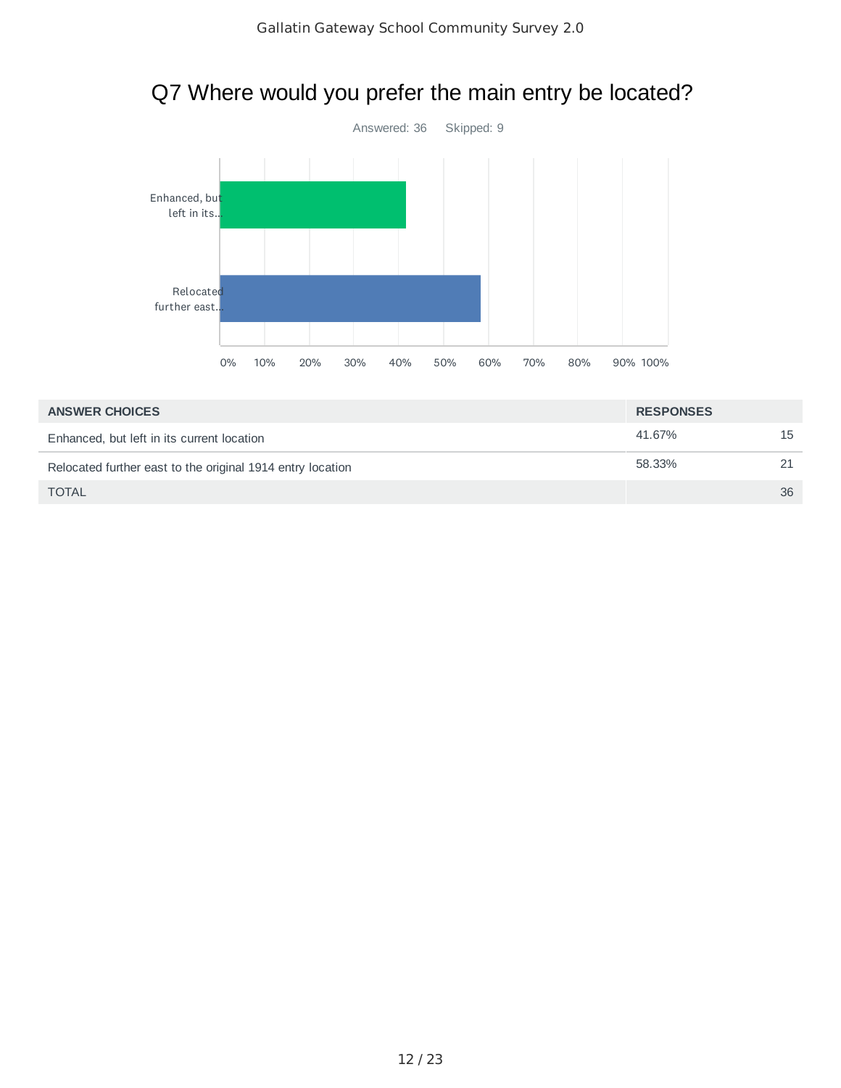

# Q7 Where would you prefer the main entry be located?

| <b>ANSWER CHOICES</b>                                      | <b>RESPONSES</b> |    |
|------------------------------------------------------------|------------------|----|
| Enhanced, but left in its current location                 | 41.67%           | 15 |
| Relocated further east to the original 1914 entry location | 58.33%           |    |
| <b>TOTAL</b>                                               |                  | 36 |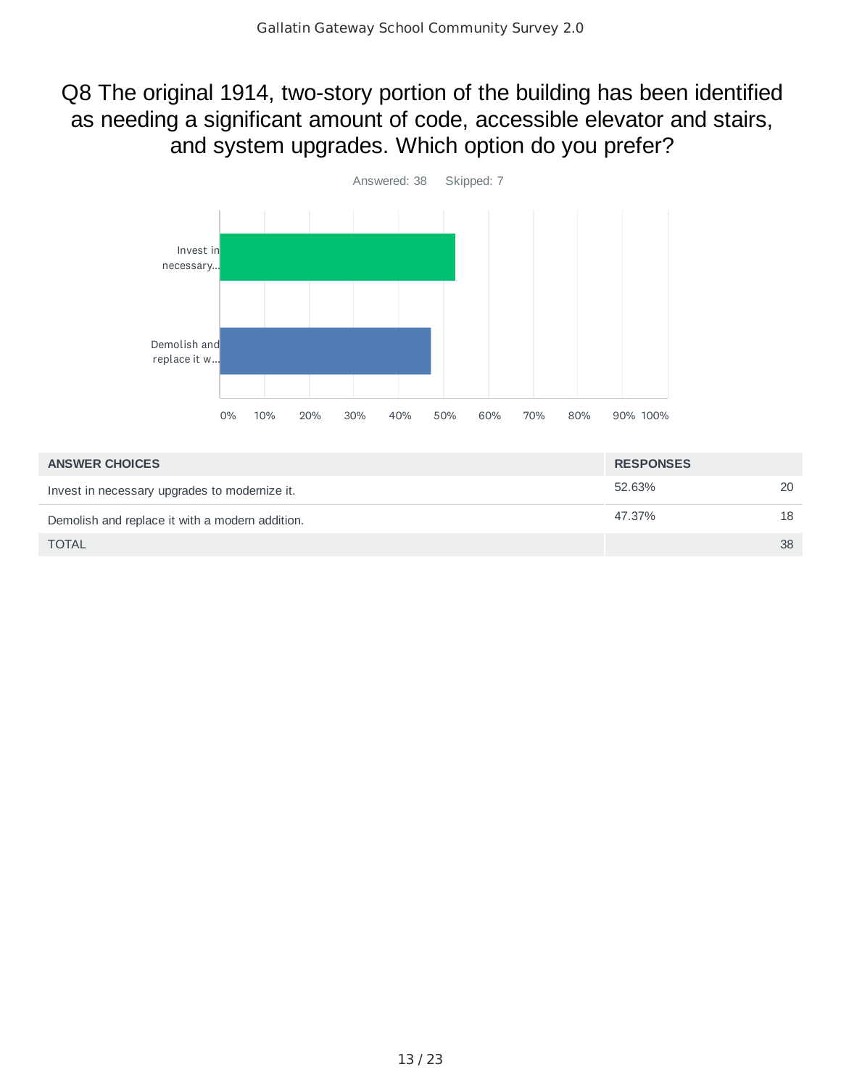### Q8 The original 1914, two-story portion of the building has been identified as needing a significant amount of code, accessible elevator and stairs, and system upgrades. Which option do you prefer?



| <b>ANSWER CHOICES</b>                           | <b>RESPONSES</b> |    |
|-------------------------------------------------|------------------|----|
| Invest in necessary upgrades to modernize it.   | 52.63%           | 20 |
| Demolish and replace it with a modern addition. | 47.37%           | 18 |
| <b>TOTAL</b>                                    |                  | 38 |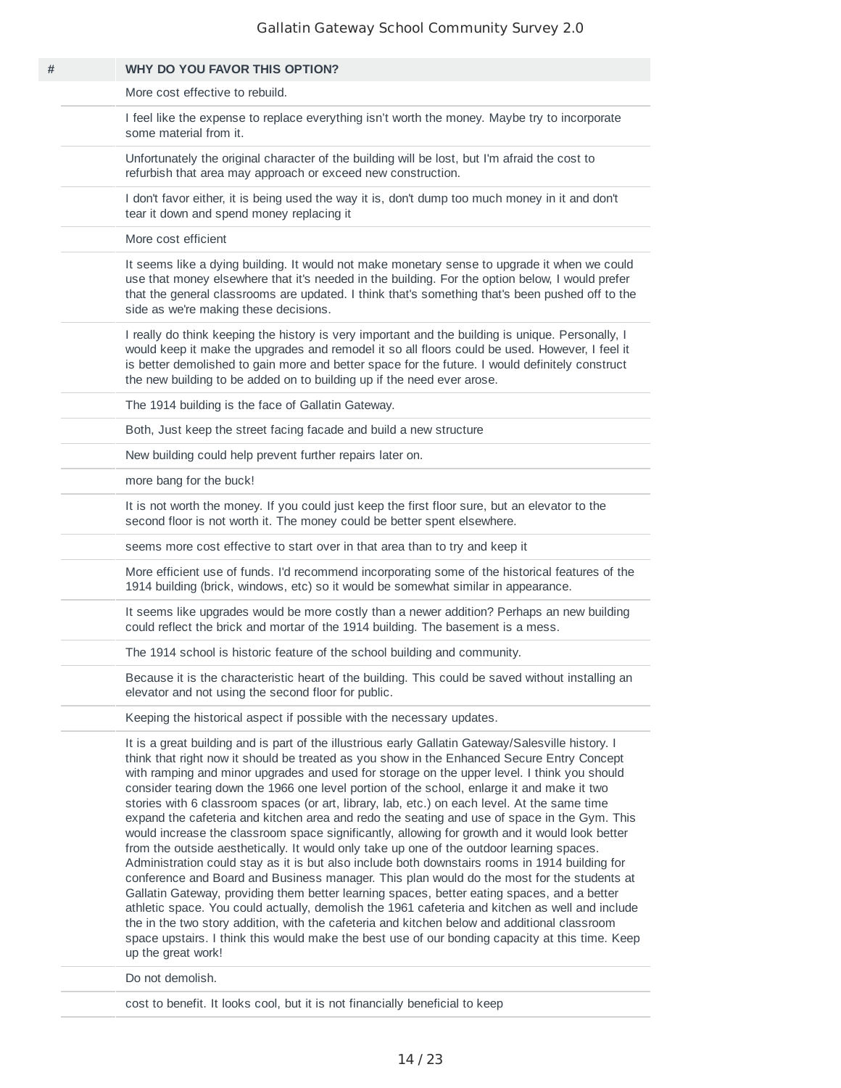| WHY DO YOU FAVOR THIS OPTION?                                                                                                                                                                                                                                                                                                                                                                                                                                                                                                                                                                                                                                                                                                                                                                                                                                                                                                                                                                                                                                                                                                                                                                                                                                                                                                                                                                                           |
|-------------------------------------------------------------------------------------------------------------------------------------------------------------------------------------------------------------------------------------------------------------------------------------------------------------------------------------------------------------------------------------------------------------------------------------------------------------------------------------------------------------------------------------------------------------------------------------------------------------------------------------------------------------------------------------------------------------------------------------------------------------------------------------------------------------------------------------------------------------------------------------------------------------------------------------------------------------------------------------------------------------------------------------------------------------------------------------------------------------------------------------------------------------------------------------------------------------------------------------------------------------------------------------------------------------------------------------------------------------------------------------------------------------------------|
| More cost effective to rebuild.                                                                                                                                                                                                                                                                                                                                                                                                                                                                                                                                                                                                                                                                                                                                                                                                                                                                                                                                                                                                                                                                                                                                                                                                                                                                                                                                                                                         |
| I feel like the expense to replace everything isn't worth the money. Maybe try to incorporate<br>some material from it.                                                                                                                                                                                                                                                                                                                                                                                                                                                                                                                                                                                                                                                                                                                                                                                                                                                                                                                                                                                                                                                                                                                                                                                                                                                                                                 |
| Unfortunately the original character of the building will be lost, but I'm afraid the cost to<br>refurbish that area may approach or exceed new construction.                                                                                                                                                                                                                                                                                                                                                                                                                                                                                                                                                                                                                                                                                                                                                                                                                                                                                                                                                                                                                                                                                                                                                                                                                                                           |
| I don't favor either, it is being used the way it is, don't dump too much money in it and don't<br>tear it down and spend money replacing it                                                                                                                                                                                                                                                                                                                                                                                                                                                                                                                                                                                                                                                                                                                                                                                                                                                                                                                                                                                                                                                                                                                                                                                                                                                                            |
| More cost efficient                                                                                                                                                                                                                                                                                                                                                                                                                                                                                                                                                                                                                                                                                                                                                                                                                                                                                                                                                                                                                                                                                                                                                                                                                                                                                                                                                                                                     |
| It seems like a dying building. It would not make monetary sense to upgrade it when we could<br>use that money elsewhere that it's needed in the building. For the option below, I would prefer<br>that the general classrooms are updated. I think that's something that's been pushed off to the<br>side as we're making these decisions.                                                                                                                                                                                                                                                                                                                                                                                                                                                                                                                                                                                                                                                                                                                                                                                                                                                                                                                                                                                                                                                                             |
| I really do think keeping the history is very important and the building is unique. Personally, I<br>would keep it make the upgrades and remodel it so all floors could be used. However, I feel it<br>is better demolished to gain more and better space for the future. I would definitely construct<br>the new building to be added on to building up if the need ever arose.                                                                                                                                                                                                                                                                                                                                                                                                                                                                                                                                                                                                                                                                                                                                                                                                                                                                                                                                                                                                                                        |
| The 1914 building is the face of Gallatin Gateway.                                                                                                                                                                                                                                                                                                                                                                                                                                                                                                                                                                                                                                                                                                                                                                                                                                                                                                                                                                                                                                                                                                                                                                                                                                                                                                                                                                      |
| Both, Just keep the street facing facade and build a new structure                                                                                                                                                                                                                                                                                                                                                                                                                                                                                                                                                                                                                                                                                                                                                                                                                                                                                                                                                                                                                                                                                                                                                                                                                                                                                                                                                      |
| New building could help prevent further repairs later on.                                                                                                                                                                                                                                                                                                                                                                                                                                                                                                                                                                                                                                                                                                                                                                                                                                                                                                                                                                                                                                                                                                                                                                                                                                                                                                                                                               |
| more bang for the buck!                                                                                                                                                                                                                                                                                                                                                                                                                                                                                                                                                                                                                                                                                                                                                                                                                                                                                                                                                                                                                                                                                                                                                                                                                                                                                                                                                                                                 |
| It is not worth the money. If you could just keep the first floor sure, but an elevator to the<br>second floor is not worth it. The money could be better spent elsewhere.                                                                                                                                                                                                                                                                                                                                                                                                                                                                                                                                                                                                                                                                                                                                                                                                                                                                                                                                                                                                                                                                                                                                                                                                                                              |
| seems more cost effective to start over in that area than to try and keep it                                                                                                                                                                                                                                                                                                                                                                                                                                                                                                                                                                                                                                                                                                                                                                                                                                                                                                                                                                                                                                                                                                                                                                                                                                                                                                                                            |
| More efficient use of funds. I'd recommend incorporating some of the historical features of the<br>1914 building (brick, windows, etc) so it would be somewhat similar in appearance.                                                                                                                                                                                                                                                                                                                                                                                                                                                                                                                                                                                                                                                                                                                                                                                                                                                                                                                                                                                                                                                                                                                                                                                                                                   |
| It seems like upgrades would be more costly than a newer addition? Perhaps an new building<br>could reflect the brick and mortar of the 1914 building. The basement is a mess.                                                                                                                                                                                                                                                                                                                                                                                                                                                                                                                                                                                                                                                                                                                                                                                                                                                                                                                                                                                                                                                                                                                                                                                                                                          |
| The 1914 school is historic feature of the school building and community.                                                                                                                                                                                                                                                                                                                                                                                                                                                                                                                                                                                                                                                                                                                                                                                                                                                                                                                                                                                                                                                                                                                                                                                                                                                                                                                                               |
| Because it is the characteristic heart of the building. This could be saved without installing an<br>elevator and not using the second floor for public.                                                                                                                                                                                                                                                                                                                                                                                                                                                                                                                                                                                                                                                                                                                                                                                                                                                                                                                                                                                                                                                                                                                                                                                                                                                                |
| Keeping the historical aspect if possible with the necessary updates.                                                                                                                                                                                                                                                                                                                                                                                                                                                                                                                                                                                                                                                                                                                                                                                                                                                                                                                                                                                                                                                                                                                                                                                                                                                                                                                                                   |
| It is a great building and is part of the illustrious early Gallatin Gateway/Salesville history. I<br>think that right now it should be treated as you show in the Enhanced Secure Entry Concept<br>with ramping and minor upgrades and used for storage on the upper level. I think you should<br>consider tearing down the 1966 one level portion of the school, enlarge it and make it two<br>stories with 6 classroom spaces (or art, library, lab, etc.) on each level. At the same time<br>expand the cafeteria and kitchen area and redo the seating and use of space in the Gym. This<br>would increase the classroom space significantly, allowing for growth and it would look better<br>from the outside aesthetically. It would only take up one of the outdoor learning spaces.<br>Administration could stay as it is but also include both downstairs rooms in 1914 building for<br>conference and Board and Business manager. This plan would do the most for the students at<br>Gallatin Gateway, providing them better learning spaces, better eating spaces, and a better<br>athletic space. You could actually, demolish the 1961 cafeteria and kitchen as well and include<br>the in the two story addition, with the cafeteria and kitchen below and additional classroom<br>space upstairs. I think this would make the best use of our bonding capacity at this time. Keep<br>up the great work! |
| Do not demolish.                                                                                                                                                                                                                                                                                                                                                                                                                                                                                                                                                                                                                                                                                                                                                                                                                                                                                                                                                                                                                                                                                                                                                                                                                                                                                                                                                                                                        |

cost to benefit. It looks cool, but it is not financially beneficial to keep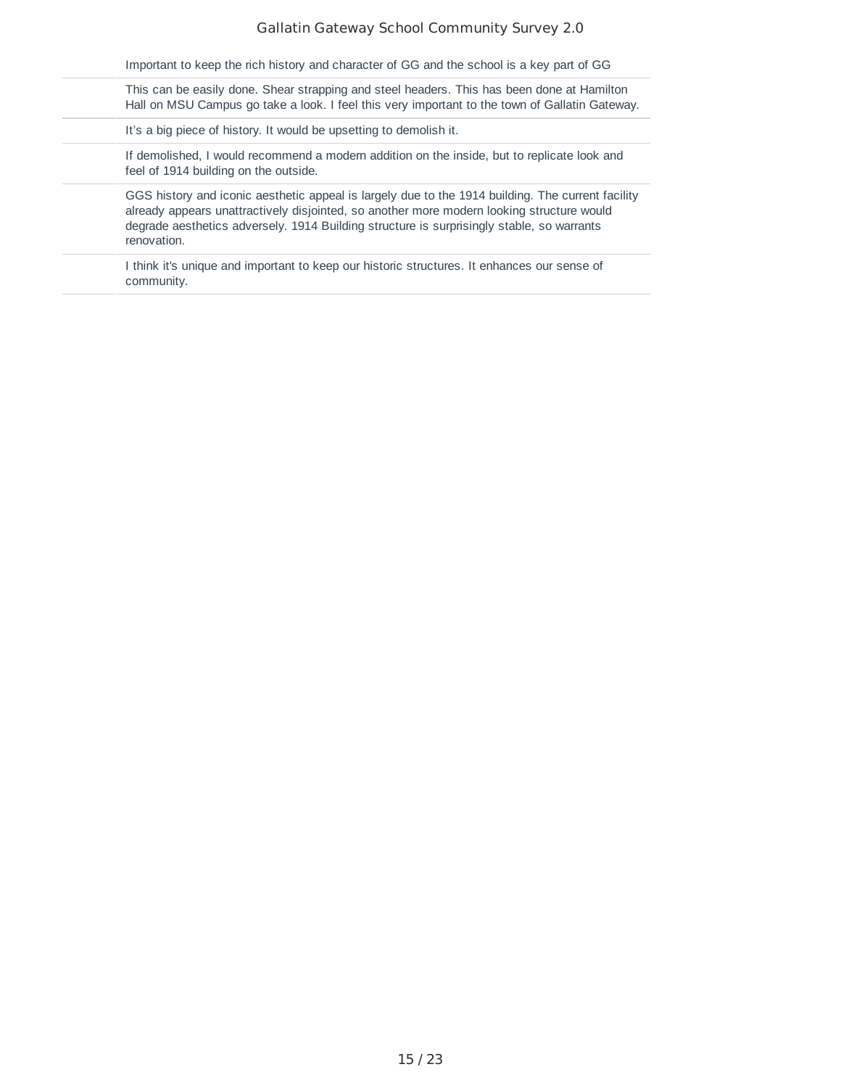| Important to keep the rich history and character of GG and the school is a key part of GG                                                                                                                                                                                                                  |
|------------------------------------------------------------------------------------------------------------------------------------------------------------------------------------------------------------------------------------------------------------------------------------------------------------|
| This can be easily done. Shear strapping and steel headers. This has been done at Hamilton<br>Hall on MSU Campus go take a look. I feel this very important to the town of Gallatin Gateway.                                                                                                               |
| It's a big piece of history. It would be upsetting to demolish it.                                                                                                                                                                                                                                         |
| If demolished, I would recommend a modern addition on the inside, but to replicate look and<br>feel of 1914 building on the outside.                                                                                                                                                                       |
| GGS history and iconic aesthetic appeal is largely due to the 1914 building. The current facility<br>already appears unattractively disjointed, so another more modern looking structure would<br>degrade aesthetics adversely. 1914 Building structure is surprisingly stable, so warrants<br>renovation. |
| I think it's unique and important to keep our historic structures. It enhances our sense of<br>community.                                                                                                                                                                                                  |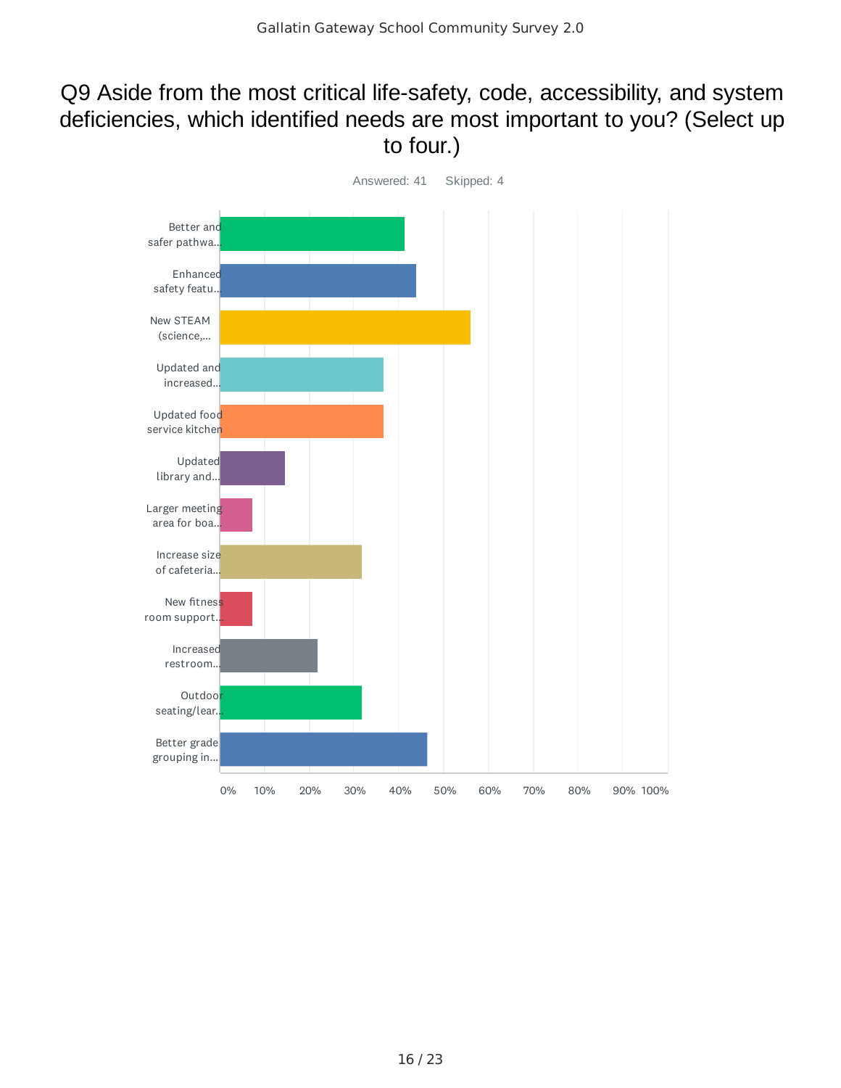## Q9 Aside from the most critical life-safety, code, accessibility, and system deficiencies, which identified needs are most important to you? (Select up to four.)

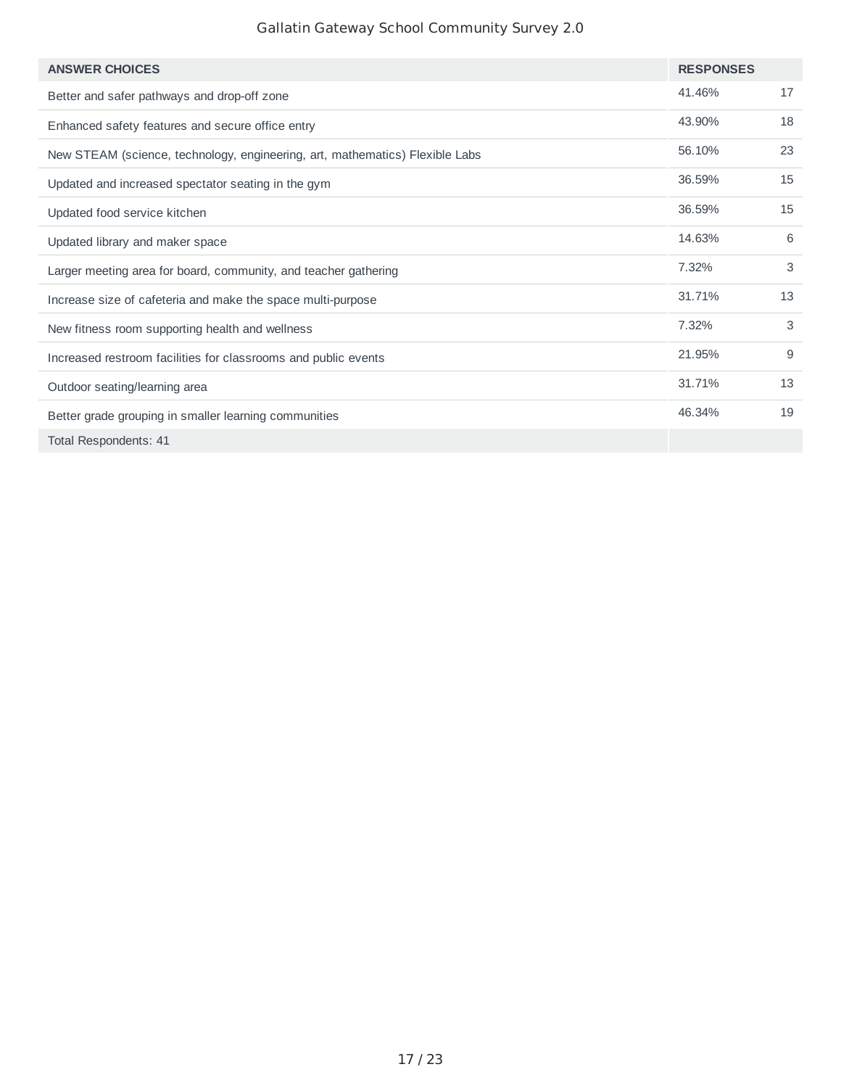| <b>ANSWER CHOICES</b>                                                        | <b>RESPONSES</b> |    |
|------------------------------------------------------------------------------|------------------|----|
| Better and safer pathways and drop-off zone                                  | 41.46%           | 17 |
| Enhanced safety features and secure office entry                             | 43.90%           | 18 |
| New STEAM (science, technology, engineering, art, mathematics) Flexible Labs | 56.10%           | 23 |
| Updated and increased spectator seating in the gym                           | 36.59%           | 15 |
| Updated food service kitchen                                                 | 36.59%           | 15 |
| Updated library and maker space                                              | 14.63%           | 6  |
| Larger meeting area for board, community, and teacher gathering              | 7.32%            | 3  |
| Increase size of cafeteria and make the space multi-purpose                  | 31.71%           | 13 |
| New fitness room supporting health and wellness                              | 7.32%            | 3  |
| Increased restroom facilities for classrooms and public events               | 21.95%           | 9  |
| Outdoor seating/learning area                                                | 31.71%           | 13 |
| Better grade grouping in smaller learning communities                        | 46.34%           | 19 |
| Total Respondents: 41                                                        |                  |    |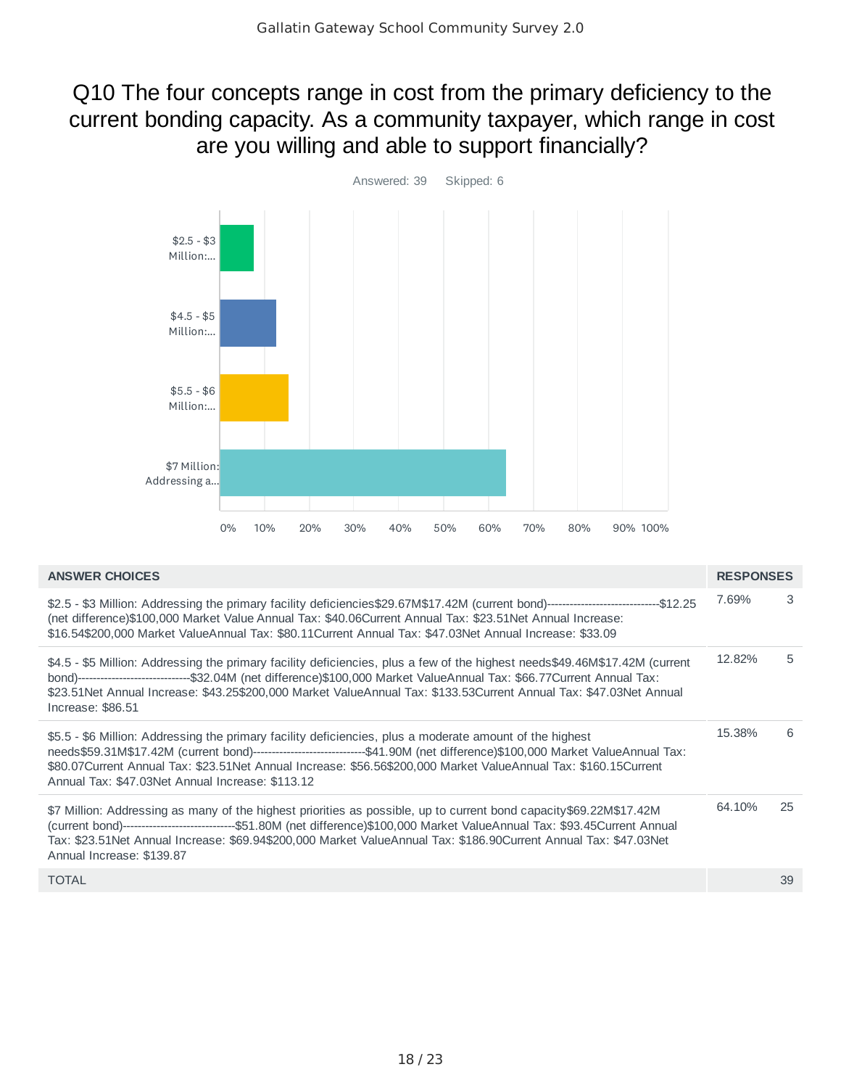## Q10 The four concepts range in cost from the primary deficiency to the current bonding capacity. As a community taxpayer, which range in cost are you willing and able to support financially?



| <b>ANSWER CHOICES</b>                                                                                                                                                                                                                                                                                                                                                                                            | <b>RESPONSES</b> |    |
|------------------------------------------------------------------------------------------------------------------------------------------------------------------------------------------------------------------------------------------------------------------------------------------------------------------------------------------------------------------------------------------------------------------|------------------|----|
| \$2.5 - \$3 Million: Addressing the primary facility deficiencies\$29.67M\$17.42M (current bond)--------------------------------\$12.25<br>(net difference)\$100,000 Market Value Annual Tax: \$40.06Current Annual Tax: \$23.51Net Annual Increase:<br>\$16.54\$200,000 Market ValueAnnual Tax: \$80.11Current Annual Tax: \$47.03Net Annual Increase: \$33.09                                                  | 7.69%            | 3  |
| \$4.5 - \$5 Million: Addressing the primary facility deficiencies, plus a few of the highest needs\$49.46M\$17.42M (current<br>bond)--------------------------------\$32.04M (net difference)\$100,000 Market ValueAnnual Tax: \$66.77Current Annual Tax:<br>\$23.51Net Annual Increase: \$43.25\$200,000 Market ValueAnnual Tax: \$133.53Current Annual Tax: \$47.03Net Annual<br>Increase: $$86.51$            | 12.82%           | 5. |
| \$5.5 - \$6 Million: Addressing the primary facility deficiencies, plus a moderate amount of the highest<br>needs\$59.31M\$17.42M (current bond)-------------------------------\$41.90M (net difference)\$100,000 Market ValueAnnual Tax:<br>\$80.07Current Annual Tax: \$23.51Net Annual Increase: \$56.56\$200,000 Market ValueAnnual Tax: \$160.15Current<br>Annual Tax: \$47.03Net Annual Increase: \$113.12 | 15.38%           | 6  |
| \$7 Million: Addressing as many of the highest priorities as possible, up to current bond capacity\$69.22M\$17.42M<br>(current bond)-------------------------------\$51.80M (net difference)\$100,000 Market ValueAnnual Tax: \$93.45Current Annual<br>Tax: \$23.51Net Annual Increase: \$69.94\$200,000 Market ValueAnnual Tax: \$186.90Current Annual Tax: \$47.03Net<br>Annual Increase: \$139.87             | 64.10%           | 25 |
| <b>TOTAL</b>                                                                                                                                                                                                                                                                                                                                                                                                     |                  | 39 |
|                                                                                                                                                                                                                                                                                                                                                                                                                  |                  |    |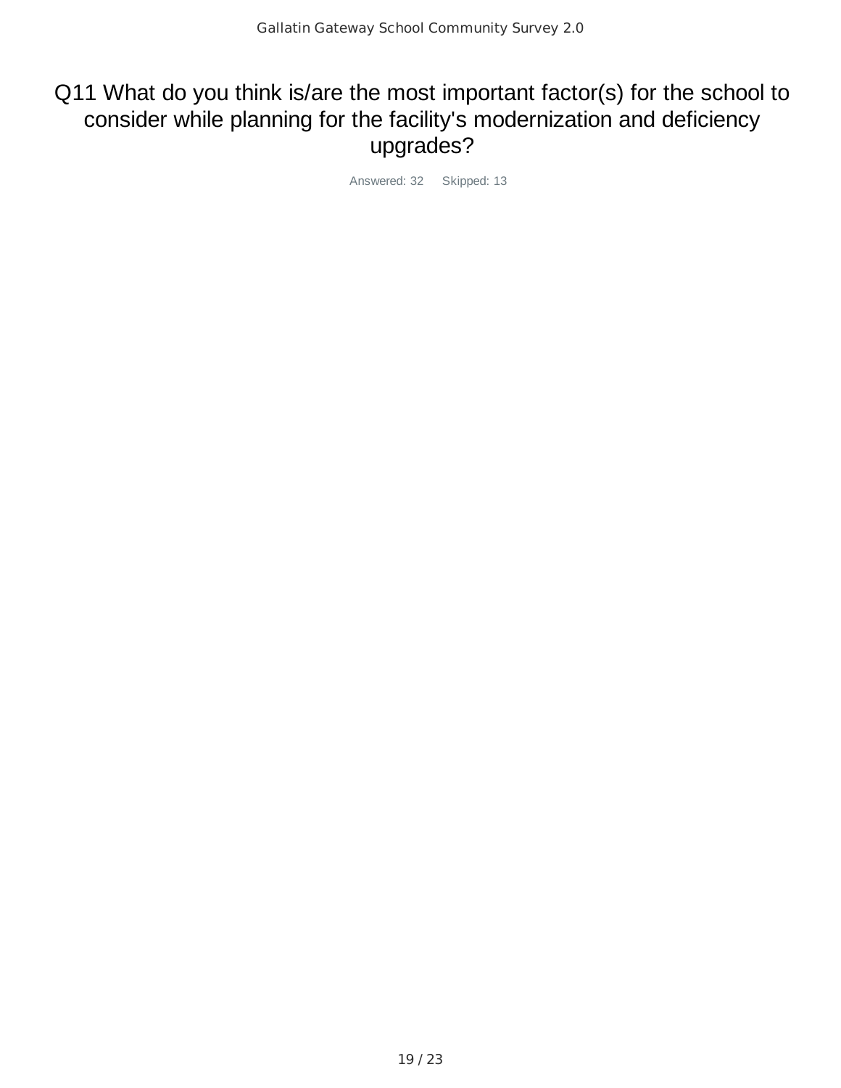## Q11 What do you think is/are the most important factor(s) for the school to consider while planning for the facility's modernization and deficiency upgrades?

Answered: 32 Skipped: 13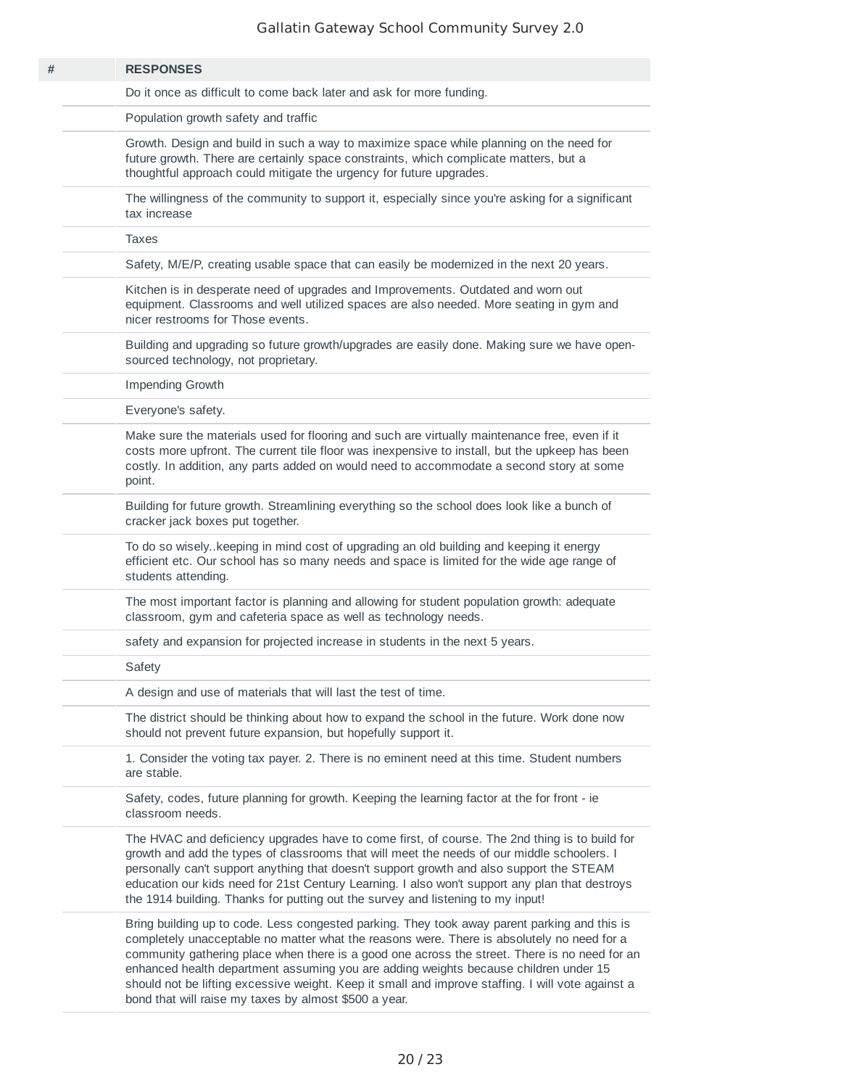|  | <b>RESPONSES</b>                                                                                                                                                                                                                                                                                                                                                                                                                                                                                                                                  |
|--|---------------------------------------------------------------------------------------------------------------------------------------------------------------------------------------------------------------------------------------------------------------------------------------------------------------------------------------------------------------------------------------------------------------------------------------------------------------------------------------------------------------------------------------------------|
|  | Do it once as difficult to come back later and ask for more funding.                                                                                                                                                                                                                                                                                                                                                                                                                                                                              |
|  | Population growth safety and traffic                                                                                                                                                                                                                                                                                                                                                                                                                                                                                                              |
|  | Growth. Design and build in such a way to maximize space while planning on the need for<br>future growth. There are certainly space constraints, which complicate matters, but a<br>thoughtful approach could mitigate the urgency for future upgrades.                                                                                                                                                                                                                                                                                           |
|  | The willingness of the community to support it, especially since you're asking for a significant<br>tax increase                                                                                                                                                                                                                                                                                                                                                                                                                                  |
|  | <b>Taxes</b>                                                                                                                                                                                                                                                                                                                                                                                                                                                                                                                                      |
|  | Safety, M/E/P, creating usable space that can easily be modernized in the next 20 years.                                                                                                                                                                                                                                                                                                                                                                                                                                                          |
|  | Kitchen is in desperate need of upgrades and Improvements. Outdated and worn out<br>equipment. Classrooms and well utilized spaces are also needed. More seating in gym and<br>nicer restrooms for Those events.                                                                                                                                                                                                                                                                                                                                  |
|  | Building and upgrading so future growth/upgrades are easily done. Making sure we have open-<br>sourced technology, not proprietary.                                                                                                                                                                                                                                                                                                                                                                                                               |
|  | Impending Growth                                                                                                                                                                                                                                                                                                                                                                                                                                                                                                                                  |
|  | Everyone's safety.                                                                                                                                                                                                                                                                                                                                                                                                                                                                                                                                |
|  | Make sure the materials used for flooring and such are virtually maintenance free, even if it<br>costs more upfront. The current tile floor was inexpensive to install, but the upkeep has been<br>costly. In addition, any parts added on would need to accommodate a second story at some<br>point.                                                                                                                                                                                                                                             |
|  | Building for future growth. Streamlining everything so the school does look like a bunch of<br>cracker jack boxes put together.                                                                                                                                                                                                                                                                                                                                                                                                                   |
|  | To do so wisely. keeping in mind cost of upgrading an old building and keeping it energy<br>efficient etc. Our school has so many needs and space is limited for the wide age range of<br>students attending.                                                                                                                                                                                                                                                                                                                                     |
|  | The most important factor is planning and allowing for student population growth: adequate<br>classroom, gym and cafeteria space as well as technology needs.                                                                                                                                                                                                                                                                                                                                                                                     |
|  | safety and expansion for projected increase in students in the next 5 years.                                                                                                                                                                                                                                                                                                                                                                                                                                                                      |
|  | Safety                                                                                                                                                                                                                                                                                                                                                                                                                                                                                                                                            |
|  | A design and use of materials that will last the test of time.                                                                                                                                                                                                                                                                                                                                                                                                                                                                                    |
|  | The district should be thinking about how to expand the school in the future. Work done now<br>should not prevent future expansion, but hopefully support it.                                                                                                                                                                                                                                                                                                                                                                                     |
|  | 1. Consider the voting tax payer. 2. There is no eminent need at this time. Student numbers<br>are stable.                                                                                                                                                                                                                                                                                                                                                                                                                                        |
|  | Safety, codes, future planning for growth. Keeping the learning factor at the for front - ie<br>classroom needs.                                                                                                                                                                                                                                                                                                                                                                                                                                  |
|  | The HVAC and deficiency upgrades have to come first, of course. The 2nd thing is to build for<br>growth and add the types of classrooms that will meet the needs of our middle schoolers. I<br>personally can't support anything that doesn't support growth and also support the STEAM<br>education our kids need for 21st Century Learning. I also won't support any plan that destroys<br>the 1914 building. Thanks for putting out the survey and listening to my input!                                                                      |
|  | Bring building up to code. Less congested parking. They took away parent parking and this is<br>completely unacceptable no matter what the reasons were. There is absolutely no need for a<br>community gathering place when there is a good one across the street. There is no need for an<br>enhanced health department assuming you are adding weights because children under 15<br>should not be lifting excessive weight. Keep it small and improve staffing. I will vote against a<br>bond that will raise my taxes by almost \$500 a year. |